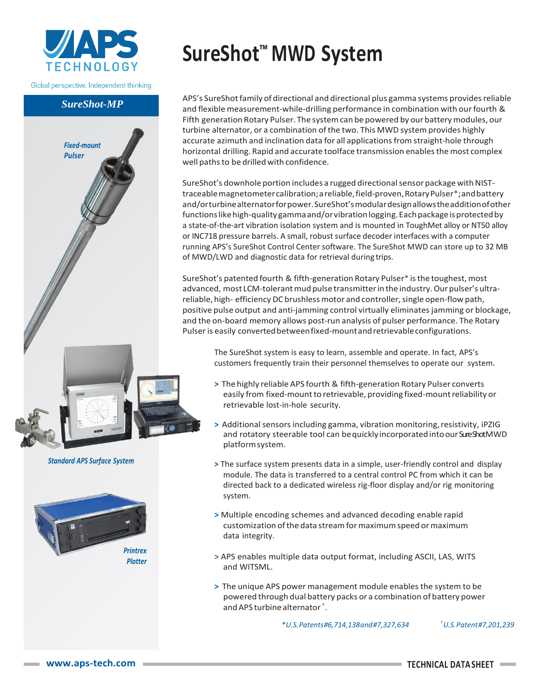

Global perspective. Independent thinking.

*SureShot-MP*

*Fixed-mount Pulser*

## **SureShot™ MWD System**

APS's SureShot family of directional and directional plus gamma systems provides reliable and flexible measurement-while-drilling performance in combination with ourfourth & Fifth generation Rotary Pulser. The system can be powered by our battery modules, our turbine alternator, or a combination of the two. This MWD system provides highly accurate azimuth and inclination data for all applicationsfrom straight-hole through horizontal drilling. Rapid and accurate toolface transmission enables the most complex well paths to be drilled with confidence.

SureShot's downhole portion includes a rugged directional sensor package with NISTtraceablemagnetometercalibration;areliable,field-proven,RotaryPulser\*;andbattery and/orturbinealternatorforpower.SureShot'smodulardesignallowstheadditionofother functionslikehigh-qualitygammaand/orvibrationlogging.Eachpackageisprotectedby a state-of-the-art vibration isolation system and is mounted in ToughMet alloy or NT50 alloy or INC718 pressure barrels. A small, robust surface decoder interfaces with a computer running APS's SureShot Control Center software. The SureShot MWD can store up to 32 MB of MWD/LWD and diagnostic data for retrieval during trips.

SureShot's patented fourth & fifth-generation Rotary Pulser\* is the toughest, most advanced, most LCM-tolerant mud pulse transmitter in the industry. Our pulser's ultrareliable, high- efficiency DC brushless motor and controller, single open-flow path, positive pulse output and anti-jamming control virtually eliminatesjamming or blockage, and the on-board memory allows post-run analysis of pulser performance. The Rotary Pulser is easily converted between fixed-mount and retrievable configurations.

The SureShot system is easy to learn, assemble and operate. In fact, APS's customers frequently train their personnel themselves to operate our system.

- **>** The highly reliable APS fourth & fifth-generation Rotary Pulser converts easily from fixed-mount to retrievable, providing fixed-mount reliability or retrievable lost-in-hole security.
- **>** Additionalsensorsincluding gamma, vibration monitoring,resistivity, iPZIG and rotatory steerable tool can be quickly incorporated into our Sure Shot MWD platformsystem.
- **>** The surface system presents data in a simple, user-friendly control and display module. The data is transferred to a central control PC from which it can be directed back to a dedicated wireless rig-floor display and/or rig monitoring system.
- **>** Multiple encoding schemes and advanced decoding enable rapid customization of the data stream for maximum speed or maximum data integrity.
- > APS enables multiple data output format, including ASCII, LAS, WITS and WITSML.
- **>** The unique APS power management module enablesthe system to be powered through dual battery packs or a combination of battery power andAPS turbine alternator † .

*\*U.S.Patents#6,714,138and#7,327,634 †U.S.Patent#7,201,239*

*Standard APS Surface System*